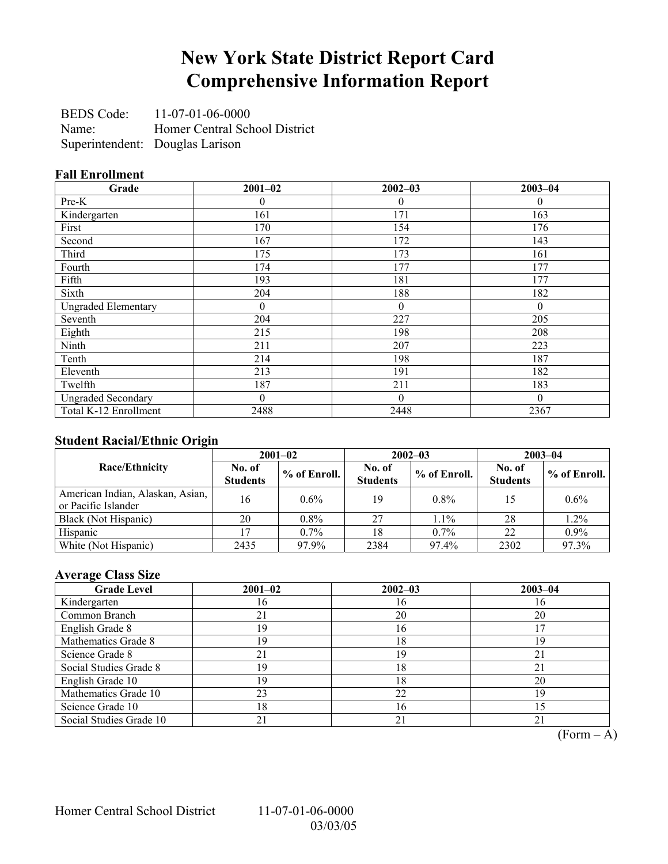## **New York State District Report Card Comprehensive Information Report**

BEDS Code: 11-07-01-06-0000 Name: Homer Central School District Superintendent: Douglas Larison

### **Fall Enrollment**

| Grade                      | $2001 - 02$    | $2002 - 03$  | $2003 - 04$ |
|----------------------------|----------------|--------------|-------------|
| Pre-K                      | 0              | 0            | $\theta$    |
| Kindergarten               | 161            | 171          | 163         |
| First                      | 170            | 154          | 176         |
| Second                     | 167            | 172          | 143         |
| Third                      | 175            | 173          | 161         |
| Fourth                     | 174            | 177          | 177         |
| Fifth                      | 193            | 181          | 177         |
| Sixth                      | 204            | 188          | 182         |
| <b>Ungraded Elementary</b> | $\theta$       | $\theta$     | $\theta$    |
| Seventh                    | 204            | 227          | 205         |
| Eighth                     | 215            | 198          | 208         |
| Ninth                      | 211            | 207          | 223         |
| Tenth                      | 214            | 198          | 187         |
| Eleventh                   | 213            | 191          | 182         |
| Twelfth                    | 187            | 211          | 183         |
| <b>Ungraded Secondary</b>  | $\overline{0}$ | $\mathbf{0}$ | $\theta$    |
| Total K-12 Enrollment      | 2488           | 2448         | 2367        |

### **Student Racial/Ethnic Origin**

| ັ                                                       | $2001 - 02$               |                |                           | $2002 - 03$  | $2003 - 04$               |              |
|---------------------------------------------------------|---------------------------|----------------|---------------------------|--------------|---------------------------|--------------|
| <b>Race/Ethnicity</b>                                   | No. of<br><b>Students</b> | $%$ of Enroll. | No. of<br><b>Students</b> | % of Enroll. | No. of<br><b>Students</b> | % of Enroll. |
| American Indian, Alaskan, Asian,<br>or Pacific Islander | 16                        | $0.6\%$        | 19                        | $0.8\%$      | 15                        | $0.6\%$      |
| Black (Not Hispanic)                                    | 20                        | $0.8\%$        | 27                        | $1.1\%$      | 28                        | 1.2%         |
| Hispanic                                                |                           | $0.7\%$        | 18                        | $0.7\%$      | 22                        | $0.9\%$      |
| White (Not Hispanic)                                    | 2435                      | 97.9%          | 2384                      | 97.4%        | 2302                      | 97.3%        |

### **Average Class Size**

| <b>Grade Level</b>      | $2001 - 02$   | $2002 - 03$ | $2003 - 04$ |
|-------------------------|---------------|-------------|-------------|
| Kindergarten            | $\mathfrak b$ | 16          |             |
| Common Branch           | 21            | 20          | 20          |
| English Grade 8         | 19            | 16          |             |
| Mathematics Grade 8     | 19            | 18          | 19          |
| Science Grade 8         | 21            | 19          | 21          |
| Social Studies Grade 8  | 19            | 18          |             |
| English Grade 10        | 19            | 18          | 20          |
| Mathematics Grade 10    | 23            | 22          | 19          |
| Science Grade 10        | 8             | 16          |             |
| Social Studies Grade 10 | 21            | 21          | 21          |

 $\overline{(Form - A)}$ 

Homer Central School District 11-07-01-06-0000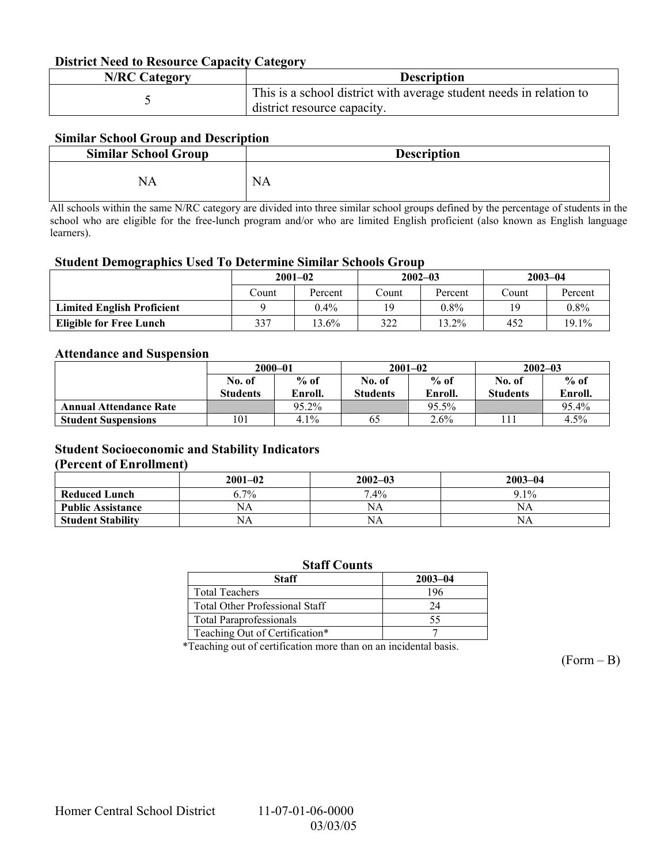#### **District Need to Resource Capacity Category**

| <b>N/RC Category</b> | <b>Description</b>                                                                                 |
|----------------------|----------------------------------------------------------------------------------------------------|
|                      | This is a school district with average student needs in relation to<br>district resource capacity. |

### **Similar School Group and Description**

| <b>Similar School Group</b> | <b>Description</b> |
|-----------------------------|--------------------|
| NA                          | <b>NA</b>          |

All schools within the same N/RC category are divided into three similar school groups defined by the percentage of students in the school who are eligible for the free-lunch program and/or who are limited English proficient (also known as English language learners).

#### **Student Demographics Used To Determine Similar Schools Group**

|                                   | $2001 - 02$ |         | $2002 - 03$ |          | $2003 - 04$ |          |
|-----------------------------------|-------------|---------|-------------|----------|-------------|----------|
|                                   | Count       | Percent | Count       | Percent  | ∑ount       | Percent  |
| <b>Limited English Proficient</b> |             | $0.4\%$ | 19          | $0.8\%$  | 19          | $0.8\%$  |
| <b>Eligible for Free Lunch</b>    | 337         | 13.6%   | 322         | $13.2\%$ | 452         | $19.1\%$ |

#### **Attendance and Suspension**

|                               | $2000 - 01$     |          |                 | $2001 - 02$ | $2002 - 03$     |         |
|-------------------------------|-----------------|----------|-----------------|-------------|-----------------|---------|
|                               | No. of          | $%$ of   | No. of          | $%$ of      | No. of          | $%$ of  |
|                               | <b>Students</b> | Enroll.  | <b>Students</b> | Enroll.     | <b>Students</b> | Enroll. |
| <b>Annual Attendance Rate</b> |                 | $95.2\%$ |                 | 95.5%       |                 | 95.4%   |
| <b>Student Suspensions</b>    | 101             | 4.1%     | 65              | $2.6\%$     |                 | 4.5%    |

### **Student Socioeconomic and Stability Indicators**

#### **(Percent of Enrollment)**

|                          | $2001 - 02$ | $2002 - 03$ | $2003 - 04$ |
|--------------------------|-------------|-------------|-------------|
| <b>Reduced Lunch</b>     | $6.7\%$     | $7.4\%$     | $9.1\%$     |
| <b>Public Assistance</b> | NΑ          | NA          | NA          |
| <b>Student Stability</b> | NΑ          | NA          | NΑ          |

| <b>Staff Counts</b>                   |             |  |  |  |
|---------------------------------------|-------------|--|--|--|
| <b>Staff</b>                          | $2003 - 04$ |  |  |  |
| <b>Total Teachers</b>                 | 196         |  |  |  |
| <b>Total Other Professional Staff</b> | 24          |  |  |  |
| <b>Total Paraprofessionals</b>        | 55          |  |  |  |
| Teaching Out of Certification*        |             |  |  |  |

\*Teaching out of certification more than on an incidental basis.

 $(Form - B)$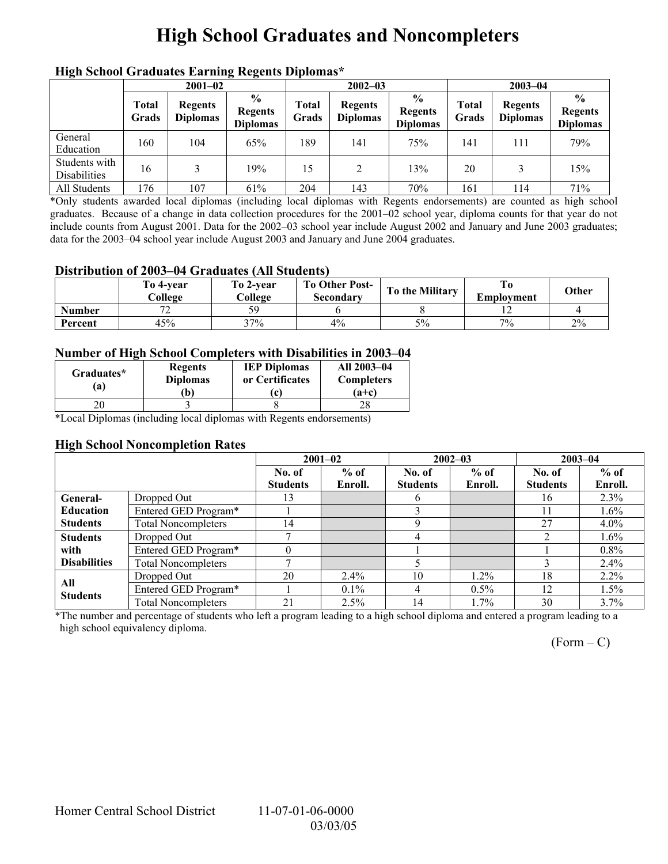# **High School Graduates and Noncompleters**

| mgn benoor Grauuates Larming regents Diplomas |                       |                                   |                                                     |                       |                                   |                                                    |                |                                   |                                                    |  |
|-----------------------------------------------|-----------------------|-----------------------------------|-----------------------------------------------------|-----------------------|-----------------------------------|----------------------------------------------------|----------------|-----------------------------------|----------------------------------------------------|--|
|                                               | $2001 - 02$           |                                   |                                                     |                       | $2002 - 03$                       |                                                    |                | $2003 - 04$                       |                                                    |  |
|                                               | <b>Total</b><br>Grads | <b>Regents</b><br><b>Diplomas</b> | $\frac{6}{10}$<br><b>Regents</b><br><b>Diplomas</b> | <b>Total</b><br>Grads | <b>Regents</b><br><b>Diplomas</b> | $\frac{0}{0}$<br><b>Regents</b><br><b>Diplomas</b> | Total<br>Grads | <b>Regents</b><br><b>Diplomas</b> | $\frac{0}{0}$<br><b>Regents</b><br><b>Diplomas</b> |  |
| General<br>Education                          | 160                   | 104                               | 65%                                                 | 189                   | 141                               | 75%                                                | 141            | 111                               | 79%                                                |  |
| Students with<br><b>Disabilities</b>          | 16                    |                                   | 19%                                                 | 15                    | 2                                 | 13%                                                | 20             |                                   | 15%                                                |  |
| All Students                                  | 176                   | 107                               | 61%                                                 | 204                   | 143                               | 70%                                                | 161            | 114                               | 71%                                                |  |

### **High School Graduates Earning Regents Diplomas\***

\*Only students awarded local diplomas (including local diplomas with Regents endorsements) are counted as high school graduates. Because of a change in data collection procedures for the 2001–02 school year, diploma counts for that year do not include counts from August 2001. Data for the 2002–03 school year include August 2002 and January and June 2003 graduates; data for the 2003–04 school year include August 2003 and January and June 2004 graduates.

#### **Distribution of 2003–04 Graduates (All Students)**

|               | To 4-vear<br>College                 | To 2-vear<br>College | <b>To Other Post-</b><br>Secondarv | To the Military | Employment | Other |
|---------------|--------------------------------------|----------------------|------------------------------------|-----------------|------------|-------|
| <b>Number</b> | $\overline{\phantom{a}}$<br><b>_</b> |                      |                                    |                 |            |       |
| Percent       | 45%                                  | 37%                  | $4\%$                              | 5%              | 7%         | 2%    |

### **Number of High School Completers with Disabilities in 2003–04**

| Graduates*<br>a) | <b>Regents</b><br><b>Diplomas</b><br>b) | <b>IEP Diplomas</b><br>or Certificates | All 2003-04<br><b>Completers</b><br>$(a+c)$ |
|------------------|-----------------------------------------|----------------------------------------|---------------------------------------------|
|                  |                                         |                                        |                                             |

\*Local Diplomas (including local diplomas with Regents endorsements)

### **High School Noncompletion Rates**

|                     |                            | $2001 - 02$     |         |                 | $2002 - 03$ | $2003 - 04$     |         |
|---------------------|----------------------------|-----------------|---------|-----------------|-------------|-----------------|---------|
|                     |                            | No. of          | $%$ of  | No. of          | $%$ of      | No. of          | $%$ of  |
|                     |                            | <b>Students</b> | Enroll. | <b>Students</b> | Enroll.     | <b>Students</b> | Enroll. |
| General-            | Dropped Out                | 13              |         | h.              |             | 16              | 2.3%    |
| <b>Education</b>    | Entered GED Program*       |                 |         |                 |             |                 | $1.6\%$ |
| <b>Students</b>     | <b>Total Noncompleters</b> | 14              |         |                 |             | 27              | $4.0\%$ |
| <b>Students</b>     | Dropped Out                |                 |         |                 |             |                 | $1.6\%$ |
| with                | Entered GED Program*       |                 |         |                 |             |                 | 0.8%    |
| <b>Disabilities</b> | <b>Total Noncompleters</b> |                 |         |                 |             |                 | $2.4\%$ |
| All                 | Dropped Out                | 20              | $2.4\%$ | 10              | $1.2\%$     | 18              | $2.2\%$ |
| <b>Students</b>     | Entered GED Program*       |                 | $0.1\%$ | 4               | $0.5\%$     | 12              | $1.5\%$ |
|                     | <b>Total Noncompleters</b> | 21              | $2.5\%$ | 14              | 1.7%        | 30              | $3.7\%$ |

\*The number and percentage of students who left a program leading to a high school diploma and entered a program leading to a high school equivalency diploma.

 $(Form - C)$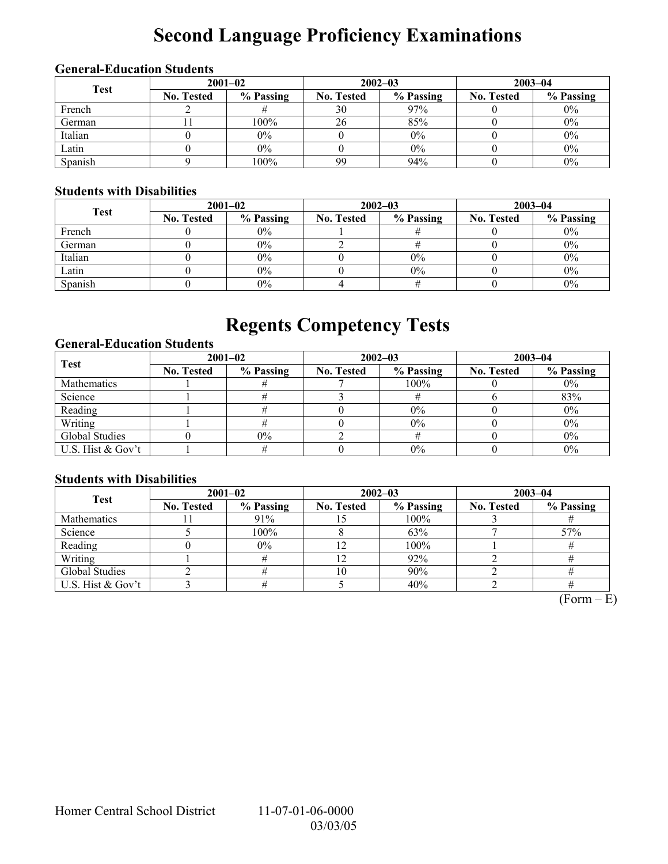# **Second Language Proficiency Examinations**

### **General-Education Students**

| <b>Test</b> | $2001 - 02$       |           |                   | $2002 - 03$ | $2003 - 04$       |           |  |
|-------------|-------------------|-----------|-------------------|-------------|-------------------|-----------|--|
|             | <b>No. Tested</b> | % Passing | <b>No. Tested</b> | % Passing   | <b>No. Tested</b> | % Passing |  |
| French      |                   |           | 30                | 97%         |                   | $0\%$     |  |
| German      |                   | 100%      | 26                | 85%         |                   | $0\%$     |  |
| Italian     |                   | $0\%$     |                   | $0\%$       |                   | $0\%$     |  |
| Latin       |                   | $0\%$     |                   | 0%          |                   | $0\%$     |  |
| Spanish     |                   | 100%      | 99                | 94%         |                   | $0\%$     |  |

### **Students with Disabilities**

| <b>Test</b> | $2001 - 02$       |           |                   | $2002 - 03$ | $2003 - 04$       |           |  |
|-------------|-------------------|-----------|-------------------|-------------|-------------------|-----------|--|
|             | <b>No. Tested</b> | % Passing | <b>No. Tested</b> | % Passing   | <b>No. Tested</b> | % Passing |  |
| French      |                   | $0\%$     |                   |             |                   | $0\%$     |  |
| German      |                   | $0\%$     |                   |             |                   | $0\%$     |  |
| Italian     |                   | $0\%$     |                   | 0%          |                   | $0\%$     |  |
| Latin       |                   | $0\%$     |                   | 0%          |                   | $0\%$     |  |
| Spanish     |                   | $0\%$     |                   |             |                   | $0\%$     |  |

# **Regents Competency Tests**

### **General-Education Students**

| <b>Test</b>       | $2001 - 02$       |           |                   | $2002 - 03$ | $2003 - 04$       |           |  |
|-------------------|-------------------|-----------|-------------------|-------------|-------------------|-----------|--|
|                   | <b>No. Tested</b> | % Passing | <b>No. Tested</b> | % Passing   | <b>No. Tested</b> | % Passing |  |
| Mathematics       |                   |           |                   | $100\%$     |                   | $0\%$     |  |
| Science           |                   |           |                   |             |                   | 83%       |  |
| Reading           |                   |           |                   | $0\%$       |                   | $0\%$     |  |
| Writing           |                   |           |                   | 0%          |                   | $0\%$     |  |
| Global Studies    |                   | $0\%$     |                   |             |                   | $0\%$     |  |
| U.S. Hist & Gov't |                   |           |                   | 0%          |                   | 0%        |  |

### **Students with Disabilities**

| <b>Test</b>        | $2001 - 02$       |           |            | $2002 - 03$ | $2003 - 04$       |           |  |
|--------------------|-------------------|-----------|------------|-------------|-------------------|-----------|--|
|                    | <b>No. Tested</b> | % Passing | No. Tested | % Passing   | <b>No. Tested</b> | % Passing |  |
| <b>Mathematics</b> |                   | 91%       |            | 100%        |                   |           |  |
| Science            |                   | 100%      |            | 63%         |                   | 57%       |  |
| Reading            |                   | $0\%$     |            | 100%        |                   |           |  |
| Writing            |                   |           |            | 92%         |                   |           |  |
| Global Studies     |                   |           | 10         | 90%         |                   |           |  |
| U.S. Hist & Gov't  |                   |           |            | 40%         |                   |           |  |

 $(Form - E)$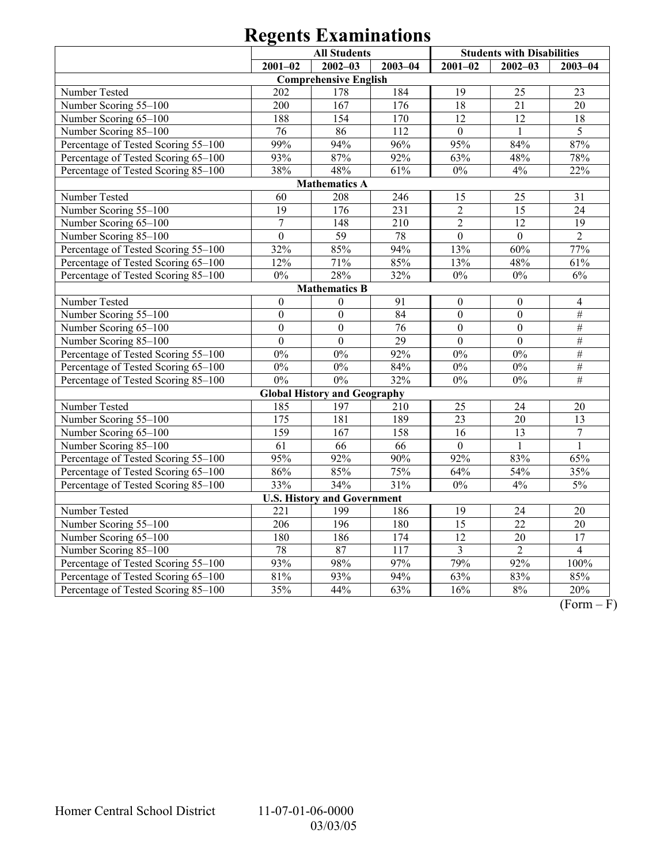|                                     | <b>All Students</b> |                                     |                  | <b>Students with Disabilities</b> |                  |                  |  |  |  |
|-------------------------------------|---------------------|-------------------------------------|------------------|-----------------------------------|------------------|------------------|--|--|--|
|                                     | $2001 - 02$         | $2002 - 03$                         | $2003 - 04$      | $2001 - 02$                       | $2002 - 03$      | $2003 - 04$      |  |  |  |
|                                     |                     | <b>Comprehensive English</b>        |                  |                                   |                  |                  |  |  |  |
| Number Tested                       | 202                 | 178                                 | 184              | 19                                | 25               | 23               |  |  |  |
| Number Scoring 55-100               | 200                 | 167                                 | 176              | 18                                | 21               | 20               |  |  |  |
| Number Scoring 65-100               | 188                 | 154                                 | 170              | 12                                | 12               | 18               |  |  |  |
| Number Scoring 85-100               | 76                  | 86                                  | 112              | $\overline{0}$                    |                  | 5                |  |  |  |
| Percentage of Tested Scoring 55-100 | 99%                 | 94%                                 | 96%              | 95%                               | 84%              | 87%              |  |  |  |
| Percentage of Tested Scoring 65-100 | 93%                 | 87%                                 | 92%              | 63%                               | 48%              | 78%              |  |  |  |
| Percentage of Tested Scoring 85-100 | 38%                 | 48%                                 | 61%              | $0\%$                             | 4%               | 22%              |  |  |  |
| <b>Mathematics A</b>                |                     |                                     |                  |                                   |                  |                  |  |  |  |
| Number Tested                       | 60                  | 208                                 | 246              | 15                                | 25               | 31               |  |  |  |
| Number Scoring 55-100               | 19                  | 176                                 | 231              | $\overline{2}$                    | 15               | 24               |  |  |  |
| Number Scoring 65-100               | $\overline{7}$      | 148                                 | 210              | $\overline{2}$                    | 12               | 19               |  |  |  |
| Number Scoring 85-100               | $\mathbf{0}$        | 59                                  | 78               | $\boldsymbol{0}$                  | $\boldsymbol{0}$ | $\overline{2}$   |  |  |  |
| Percentage of Tested Scoring 55-100 | 32%                 | 85%                                 | 94%              | 13%                               | 60%              | 77%              |  |  |  |
| Percentage of Tested Scoring 65-100 | 12%                 | 71%                                 | 85%              | 13%                               | 48%              | 61%              |  |  |  |
| Percentage of Tested Scoring 85-100 | $0\%$               | 28%                                 | 32%              | $0\%$                             | $0\%$            | $6\%$            |  |  |  |
| <b>Mathematics B</b>                |                     |                                     |                  |                                   |                  |                  |  |  |  |
| Number Tested                       | $\boldsymbol{0}$    | $\boldsymbol{0}$                    | 91               | $\boldsymbol{0}$                  | $\boldsymbol{0}$ | $\overline{4}$   |  |  |  |
| Number Scoring 55-100               | $\boldsymbol{0}$    | $\mathbf{0}$                        | 84               | $\overline{0}$                    | $\overline{0}$   | $\#$             |  |  |  |
| Number Scoring 65-100               | $\overline{0}$      | $\mathbf{0}$                        | 76               | $\mathbf{0}$                      | $\boldsymbol{0}$ | $\#$             |  |  |  |
| Number Scoring 85-100               | $\boldsymbol{0}$    | $\boldsymbol{0}$                    | 29               | $\boldsymbol{0}$                  | $\overline{0}$   | $\#$             |  |  |  |
| Percentage of Tested Scoring 55-100 | $0\%$               | $0\%$                               | 92%              | $0\%$                             | $0\%$            | $\#$             |  |  |  |
| Percentage of Tested Scoring 65-100 | $0\%$               | $0\%$                               | 84%              | $0\%$                             | 0%               | $\#$             |  |  |  |
| Percentage of Tested Scoring 85-100 | $0\%$               | $0\%$                               | 32%              | $0\%$                             | $0\%$            | $\#$             |  |  |  |
|                                     |                     | <b>Global History and Geography</b> |                  |                                   |                  |                  |  |  |  |
| Number Tested                       | 185                 | 197                                 | 210              | 25                                | 24               | 20               |  |  |  |
| Number Scoring 55-100               | 175                 | 181                                 | 189              | 23                                | 20               | 13               |  |  |  |
| Number Scoring 65-100               | 159                 | 167                                 | 158              | 16                                | 13               | $\boldsymbol{7}$ |  |  |  |
| Number Scoring 85-100               | 61                  | 66                                  | 66               | $\Omega$                          | $\mathbf{1}$     | 1                |  |  |  |
| Percentage of Tested Scoring 55-100 | 95%                 | 92%                                 | 90%              | 92%                               | 83%              | 65%              |  |  |  |
| Percentage of Tested Scoring 65-100 | 86%                 | 85%                                 | 75%              | 64%                               | 54%              | 35%              |  |  |  |
| Percentage of Tested Scoring 85-100 | 33%                 | 34%                                 | 31%              | 0%                                | 4%               | 5%               |  |  |  |
|                                     |                     | <b>U.S. History and Government</b>  |                  |                                   |                  |                  |  |  |  |
| Number Tested                       | 221                 | 199                                 | 186              | 19                                | 24               | 20               |  |  |  |
| Number Scoring 55-100               | 206                 | 196                                 | 180              | $\overline{15}$                   | $\overline{22}$  | 20               |  |  |  |
| Number Scoring 65-100               | 180                 | 186                                 | 174              | $\overline{12}$                   | 20               | $\overline{17}$  |  |  |  |
| Number Scoring 85-100               | 78                  | 87                                  | $\overline{117}$ | 3                                 | $\overline{2}$   | $\overline{4}$   |  |  |  |
| Percentage of Tested Scoring 55-100 | 93%                 | 98%                                 | 97%              | 79%                               | 92%              | 100%             |  |  |  |
| Percentage of Tested Scoring 65-100 | 81%                 | 93%                                 | 94%              | 63%                               | 83%              | 85%              |  |  |  |
| Percentage of Tested Scoring 85-100 | 35%                 | 44%                                 | 63%              | 16%                               | 8%               | 20%              |  |  |  |

 $\overline{(Form - F)}$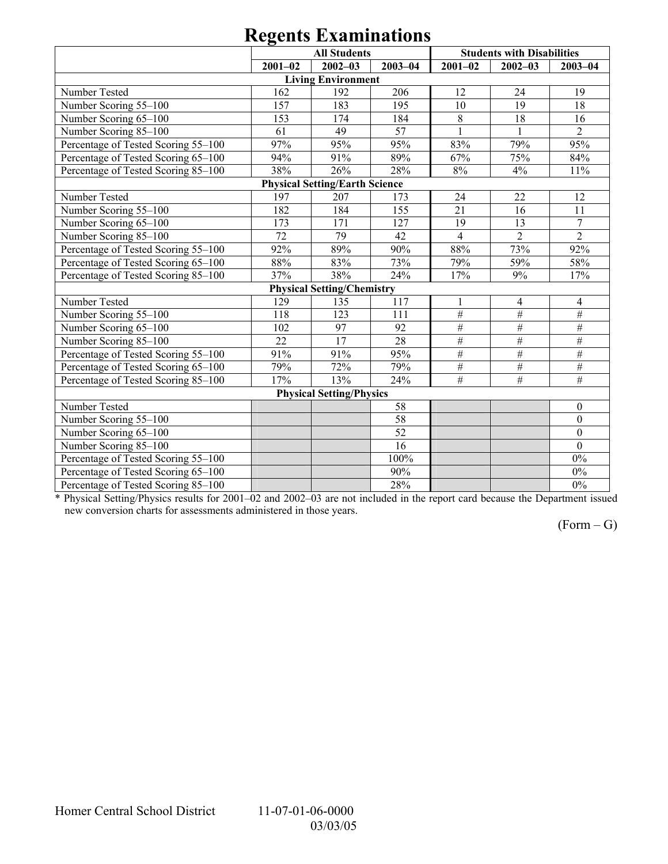|                                       | <b>All Students</b> |                                   |                 | <b>Students with Disabilities</b> |                 |                 |  |  |  |  |
|---------------------------------------|---------------------|-----------------------------------|-----------------|-----------------------------------|-----------------|-----------------|--|--|--|--|
|                                       | $2001 - 02$         | $2002 - 03$                       | $2003 - 04$     | $2001 - 02$                       | $2002 - 03$     | $2003 - 04$     |  |  |  |  |
|                                       |                     | <b>Living Environment</b>         |                 |                                   |                 |                 |  |  |  |  |
| Number Tested                         | 162                 | 192                               | 206             | 12                                | 24              | 19              |  |  |  |  |
| Number Scoring 55-100                 | 157                 | 183                               | 195             | 10                                | 19              | 18              |  |  |  |  |
| Number Scoring 65-100                 | 153                 | 174                               | 184             | 8                                 | 18              | 16              |  |  |  |  |
| Number Scoring 85-100                 | 61                  | 49                                | 57              | $\mathbf{1}$                      | $\mathbf{1}$    | $\overline{2}$  |  |  |  |  |
| Percentage of Tested Scoring 55-100   | 97%                 | 95%                               | 95%             | 83%                               | 79%             | 95%             |  |  |  |  |
| Percentage of Tested Scoring 65-100   | 94%                 | 91%                               | 89%             | 67%                               | 75%             | 84%             |  |  |  |  |
| Percentage of Tested Scoring 85-100   | 38%                 | 26%                               | 28%             | $8\%$                             | 4%              | 11%             |  |  |  |  |
| <b>Physical Setting/Earth Science</b> |                     |                                   |                 |                                   |                 |                 |  |  |  |  |
| Number Tested                         | 197                 | 207                               | 173             | 24                                | 22              | 12              |  |  |  |  |
| Number Scoring 55-100                 | 182                 | 184                               | 155             | 21                                | 16              | 11              |  |  |  |  |
| Number Scoring 65-100                 | 173                 | 171                               | 127             | 19                                | 13              | $\overline{7}$  |  |  |  |  |
| Number Scoring 85-100                 | 72                  | 79                                | 42              | $\overline{4}$                    | $\overline{2}$  | $\overline{2}$  |  |  |  |  |
| Percentage of Tested Scoring 55-100   | 92%                 | 89%                               | 90%             | 88%                               | 73%             | 92%             |  |  |  |  |
| Percentage of Tested Scoring 65-100   | 88%                 | 83%                               | 73%             | 79%                               | 59%             | 58%             |  |  |  |  |
| Percentage of Tested Scoring 85-100   | 37%                 | 38%                               | 24%             | 17%                               | 9%              | 17%             |  |  |  |  |
|                                       |                     | <b>Physical Setting/Chemistry</b> |                 |                                   |                 |                 |  |  |  |  |
| Number Tested                         | 129                 | 135                               | 117             | 1                                 | 4               | 4               |  |  |  |  |
| Number Scoring 55-100                 | 118                 | 123                               | 111             | $\overline{\#}$                   | $\overline{\#}$ | $\#$            |  |  |  |  |
| Number Scoring 65-100                 | 102                 | 97                                | 92              | $\#$                              | $\#$            | $\#$            |  |  |  |  |
| Number Scoring 85-100                 | 22                  | 17                                | 28              | $\#$                              | $\#$            | $\#$            |  |  |  |  |
| Percentage of Tested Scoring 55-100   | 91%                 | 91%                               | 95%             | $\#$                              | $\overline{\#}$ | $\overline{\#}$ |  |  |  |  |
| Percentage of Tested Scoring 65-100   | 79%                 | 72%                               | 79%             | $\#$                              | $\overline{\#}$ | $\#$            |  |  |  |  |
| Percentage of Tested Scoring 85-100   | 17%                 | 13%                               | 24%             | $\overline{\#}$                   | $\overline{\#}$ | $\overline{\#}$ |  |  |  |  |
| <b>Physical Setting/Physics</b>       |                     |                                   |                 |                                   |                 |                 |  |  |  |  |
| Number Tested                         |                     |                                   | 58              |                                   |                 | $\mathbf{0}$    |  |  |  |  |
| Number Scoring 55-100                 |                     |                                   | 58              |                                   |                 | $\overline{0}$  |  |  |  |  |
| Number Scoring 65-100                 |                     |                                   | $\overline{52}$ |                                   |                 | $\overline{0}$  |  |  |  |  |
| Number Scoring 85-100                 |                     |                                   | $\overline{16}$ |                                   |                 | $\theta$        |  |  |  |  |
| Percentage of Tested Scoring 55-100   |                     |                                   | 100%            |                                   |                 | $0\%$           |  |  |  |  |
| Percentage of Tested Scoring 65-100   |                     |                                   | 90%             |                                   |                 | $0\%$           |  |  |  |  |
| Percentage of Tested Scoring 85-100   |                     |                                   | 28%             |                                   |                 | $0\%$           |  |  |  |  |

\* Physical Setting/Physics results for 2001–02 and 2002–03 are not included in the report card because the Department issued new conversion charts for assessments administered in those years.

 $(Form - G)$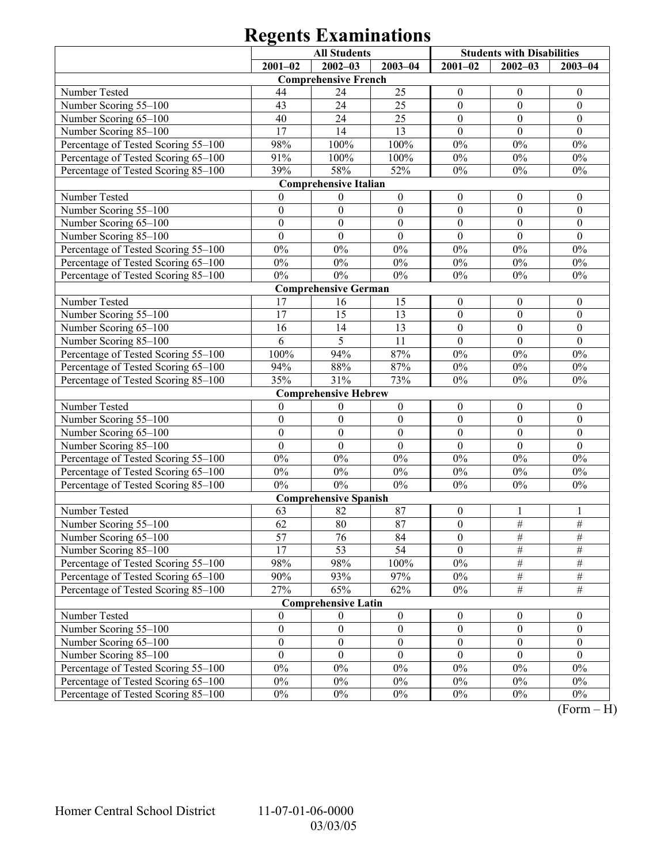|                                     | <b>All Students</b> |                              |                  | <b>Students with Disabilities</b> |                  |                  |  |  |  |
|-------------------------------------|---------------------|------------------------------|------------------|-----------------------------------|------------------|------------------|--|--|--|
|                                     | $2001 - 02$         | $2002 - 03$                  | $2003 - 04$      | $2001 - 02$                       | $2002 - 03$      | $2003 - 04$      |  |  |  |
|                                     |                     | <b>Comprehensive French</b>  |                  |                                   |                  |                  |  |  |  |
| Number Tested                       | 44                  | 24                           | 25               | $\boldsymbol{0}$                  | $\boldsymbol{0}$ | $\boldsymbol{0}$ |  |  |  |
| Number Scoring 55-100               | 43                  | 24                           | 25               | $\boldsymbol{0}$                  | $\mathbf{0}$     | $\boldsymbol{0}$ |  |  |  |
| Number Scoring 65-100               | 40                  | 24                           | 25               | $\boldsymbol{0}$                  | $\boldsymbol{0}$ | $\boldsymbol{0}$ |  |  |  |
| Number Scoring 85-100               | 17                  | 14                           | 13               | $\theta$                          | $\theta$         | $\theta$         |  |  |  |
| Percentage of Tested Scoring 55-100 | 98%                 | 100%                         | 100%             | $0\%$                             | $0\%$            | $0\%$            |  |  |  |
| Percentage of Tested Scoring 65-100 | 91%                 | 100%                         | 100%             | $0\%$                             | $0\%$            | $0\%$            |  |  |  |
| Percentage of Tested Scoring 85-100 | 39%                 | 58%                          | 52%              | $0\%$                             | $0\%$            | $0\%$            |  |  |  |
| <b>Comprehensive Italian</b>        |                     |                              |                  |                                   |                  |                  |  |  |  |
| Number Tested                       | $\overline{0}$      | $\boldsymbol{0}$             | $\boldsymbol{0}$ | $\boldsymbol{0}$                  | $\boldsymbol{0}$ | $\boldsymbol{0}$ |  |  |  |
| Number Scoring 55-100               | $\boldsymbol{0}$    | $\boldsymbol{0}$             | $\boldsymbol{0}$ | $\boldsymbol{0}$                  | $\mathbf{0}$     | $\boldsymbol{0}$ |  |  |  |
| Number Scoring 65-100               | $\boldsymbol{0}$    | $\boldsymbol{0}$             | $\boldsymbol{0}$ | $\boldsymbol{0}$                  | $\boldsymbol{0}$ | $\boldsymbol{0}$ |  |  |  |
| Number Scoring 85-100               | $\overline{0}$      | $\overline{0}$               | $\mathbf{0}$     | $\mathbf{0}$                      | $\mathbf{0}$     | $\mathbf{0}$     |  |  |  |
| Percentage of Tested Scoring 55-100 | $0\%$               | $0\%$                        | $0\%$            | $0\%$                             | $0\%$            | $0\%$            |  |  |  |
| Percentage of Tested Scoring 65-100 | $0\%$               | $0\%$                        | $0\%$            | $0\%$                             | $0\%$            | $0\%$            |  |  |  |
| Percentage of Tested Scoring 85-100 | $0\%$               | $0\%$                        | $0\%$            | $0\%$                             | $0\%$            | $0\%$            |  |  |  |
|                                     |                     | <b>Comprehensive German</b>  |                  |                                   |                  |                  |  |  |  |
| Number Tested                       | 17                  | 16                           | 15               | $\boldsymbol{0}$                  | $\boldsymbol{0}$ | $\boldsymbol{0}$ |  |  |  |
| Number Scoring 55-100               | 17                  | 15                           | 13               | $\boldsymbol{0}$                  | $\mathbf{0}$     | $\boldsymbol{0}$ |  |  |  |
| Number Scoring 65-100               | 16                  | 14                           | 13               | $\boldsymbol{0}$                  | $\boldsymbol{0}$ | $\boldsymbol{0}$ |  |  |  |
| Number Scoring 85-100               | 6                   | 5                            | 11               | $\mathbf{0}$                      | $\mathbf{0}$     | $\mathbf{0}$     |  |  |  |
| Percentage of Tested Scoring 55-100 | 100%                | 94%                          | 87%              | $0\%$                             | $0\%$            | $0\%$            |  |  |  |
| Percentage of Tested Scoring 65-100 | 94%                 | 88%                          | 87%              | $0\%$                             | $0\%$            | $0\%$            |  |  |  |
| Percentage of Tested Scoring 85-100 | 35%                 | 31%                          | 73%              | $0\%$                             | $0\%$            | $0\%$            |  |  |  |
| <b>Comprehensive Hebrew</b>         |                     |                              |                  |                                   |                  |                  |  |  |  |
| Number Tested                       | $\boldsymbol{0}$    | $\boldsymbol{0}$             | $\boldsymbol{0}$ | $\boldsymbol{0}$                  | $\boldsymbol{0}$ | $\boldsymbol{0}$ |  |  |  |
| Number Scoring 55-100               | $\boldsymbol{0}$    | $\boldsymbol{0}$             | $\boldsymbol{0}$ | $\boldsymbol{0}$                  | $\boldsymbol{0}$ | $\boldsymbol{0}$ |  |  |  |
| Number Scoring 65-100               | $\boldsymbol{0}$    | $\boldsymbol{0}$             | $\boldsymbol{0}$ | $\boldsymbol{0}$                  | $\boldsymbol{0}$ | $\boldsymbol{0}$ |  |  |  |
| Number Scoring 85-100               | $\boldsymbol{0}$    | $\boldsymbol{0}$             | $\boldsymbol{0}$ | $\boldsymbol{0}$                  | $\mathbf{0}$     | $\boldsymbol{0}$ |  |  |  |
| Percentage of Tested Scoring 55-100 | $0\%$               | $0\%$                        | $0\%$            | $0\%$                             | $0\%$            | $0\%$            |  |  |  |
| Percentage of Tested Scoring 65-100 | $0\%$               | $0\%$                        | $0\%$            | $0\%$                             | $0\%$            | $0\%$            |  |  |  |
| Percentage of Tested Scoring 85-100 | $0\%$               | $0\%$                        | $0\%$            | $0\%$                             | $0\%$            | $0\%$            |  |  |  |
|                                     |                     | <b>Comprehensive Spanish</b> |                  |                                   |                  |                  |  |  |  |
| Number Tested                       | 63                  | 82                           | 87               | $\boldsymbol{0}$                  | -1               | 1                |  |  |  |
| Number Scoring 55-100               | 62                  | 80                           | 87               | $\boldsymbol{0}$                  | $\frac{1}{2}$    | $\frac{1}{2}$    |  |  |  |
| Number Scoring 65-100               | 57                  | 76                           | 84               | $\boldsymbol{0}$                  | #                | #                |  |  |  |
| Number Scoring 85-100               | 17                  | 53                           | 54               | $\theta$                          | $\#$             | $\#$             |  |  |  |
| Percentage of Tested Scoring 55-100 | 98%                 | 98%                          | 100%             | $0\%$                             | $\frac{1}{2}$    | $\#$             |  |  |  |
| Percentage of Tested Scoring 65-100 | 90%                 | 93%                          | 97%              | $0\%$                             | $\frac{1}{2}$    | $\frac{1}{2}$    |  |  |  |
| Percentage of Tested Scoring 85-100 | 27%                 | 65%                          | 62%              | $0\%$                             | $\overline{\#}$  | $\overline{\#}$  |  |  |  |
|                                     |                     | <b>Comprehensive Latin</b>   |                  |                                   |                  |                  |  |  |  |
| Number Tested                       | $\overline{0}$      | $\theta$                     | $\boldsymbol{0}$ | $\boldsymbol{0}$                  | $\boldsymbol{0}$ | $\boldsymbol{0}$ |  |  |  |
| Number Scoring 55-100               | $\boldsymbol{0}$    | $\boldsymbol{0}$             | $\boldsymbol{0}$ | $\boldsymbol{0}$                  | $\boldsymbol{0}$ | $\boldsymbol{0}$ |  |  |  |
| Number Scoring 65-100               | $\boldsymbol{0}$    | $\boldsymbol{0}$             | $\boldsymbol{0}$ | $\boldsymbol{0}$                  | $\boldsymbol{0}$ | $\boldsymbol{0}$ |  |  |  |
| Number Scoring 85-100               | $\mathbf{0}$        | $\mathbf{0}$                 | $\mathbf{0}$     | $\mathbf{0}$                      | $\theta$         | $\theta$         |  |  |  |
| Percentage of Tested Scoring 55-100 | $0\%$               | $0\%$                        | $0\%$            | $0\%$                             | $0\%$            | $0\%$            |  |  |  |
| Percentage of Tested Scoring 65-100 | $0\%$               | $0\%$                        | $0\%$            | $0\%$                             | $0\%$            | $0\%$            |  |  |  |
| Percentage of Tested Scoring 85-100 | $0\%$               | $0\%$                        | $0\%$            | $0\%$                             | $0\%$            | $0\%$            |  |  |  |

 $(Form - H)$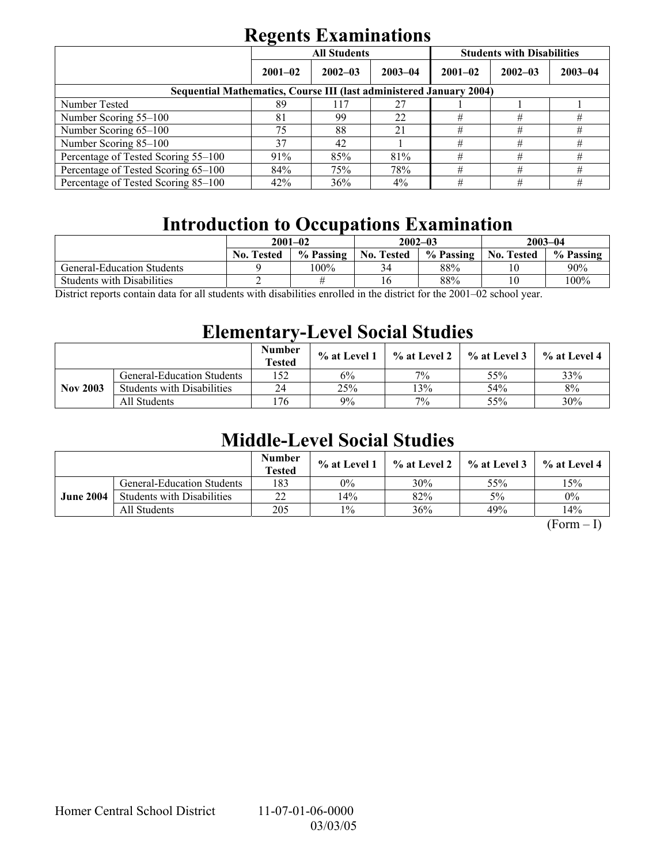|                                                                            | . .         | <b>All Students</b> |             | <b>Students with Disabilities</b> |             |             |  |  |  |
|----------------------------------------------------------------------------|-------------|---------------------|-------------|-----------------------------------|-------------|-------------|--|--|--|
|                                                                            | $2001 - 02$ | $2002 - 03$         | $2003 - 04$ | $2001 - 02$                       | $2002 - 03$ | $2003 - 04$ |  |  |  |
| <b>Sequential Mathematics, Course III (last administered January 2004)</b> |             |                     |             |                                   |             |             |  |  |  |
| Number Tested                                                              | 89          | 117                 | 27          |                                   |             |             |  |  |  |
| Number Scoring 55–100                                                      | 81          | 99                  | 22          | #                                 | #           | #           |  |  |  |
| Number Scoring 65-100                                                      | 75          | 88                  | 21          | #                                 | #           | #           |  |  |  |
| Number Scoring 85-100                                                      | 37          | 42                  |             | #                                 | #           | #           |  |  |  |
| Percentage of Tested Scoring 55-100                                        | 91%         | 85%                 | 81%         | #                                 | #           | #           |  |  |  |
| Percentage of Tested Scoring 65-100                                        | 84%         | 75%                 | 78%         | #                                 | #           | #           |  |  |  |
| Percentage of Tested Scoring 85-100                                        | 42%         | 36%                 | $4\%$       | #                                 | #           | #           |  |  |  |

## **Introduction to Occupations Examination**

| $2001 - 02$       |           |                   |           | $2003 - 04$       |           |
|-------------------|-----------|-------------------|-----------|-------------------|-----------|
| <b>No. Tested</b> | % Passing | <b>No. Tested</b> | % Passing | <b>No. Tested</b> | % Passing |
|                   | 100%      | 34                | 88%       |                   | $90\%$    |
|                   |           |                   | 88%       | 10                | $100\%$   |
|                   |           |                   |           | $2002 - 03$       |           |

District reports contain data for all students with disabilities enrolled in the district for the 2001–02 school year.

## **Elementary-Level Social Studies**

|                 |                                   | <b>Number</b><br><b>Tested</b> | % at Level 1 | % at Level 2 | $\%$ at Level 3 | % at Level 4 |
|-----------------|-----------------------------------|--------------------------------|--------------|--------------|-----------------|--------------|
|                 | <b>General-Education Students</b> | .52                            | 6%           | 7%           | 55%             | 33%          |
| <b>Nov 2003</b> | <b>Students with Disabilities</b> | 24                             | 25%          | 3%           | 54%             | 8%           |
|                 | All Students                      | '76                            | 9%           | 7%           | 55%             | 30%          |

## **Middle-Level Social Studies**

|                  |                                   | <b>Number</b><br><b>Tested</b> | $\%$ at Level 1 | % at Level 2 | $\frac{1}{2}$ % at Level 3 | $%$ at Level 4 |
|------------------|-----------------------------------|--------------------------------|-----------------|--------------|----------------------------|----------------|
|                  | <b>General-Education Students</b> | 183                            | 0%              | 30%          | 55%                        | 15%            |
| <b>June 2004</b> | <b>Students with Disabilities</b> | 22                             | 14%             | 82%          | 5%                         | $0\%$          |
|                  | All Students                      | 205                            | $1\%$           | 36%          | 49%                        | 14%            |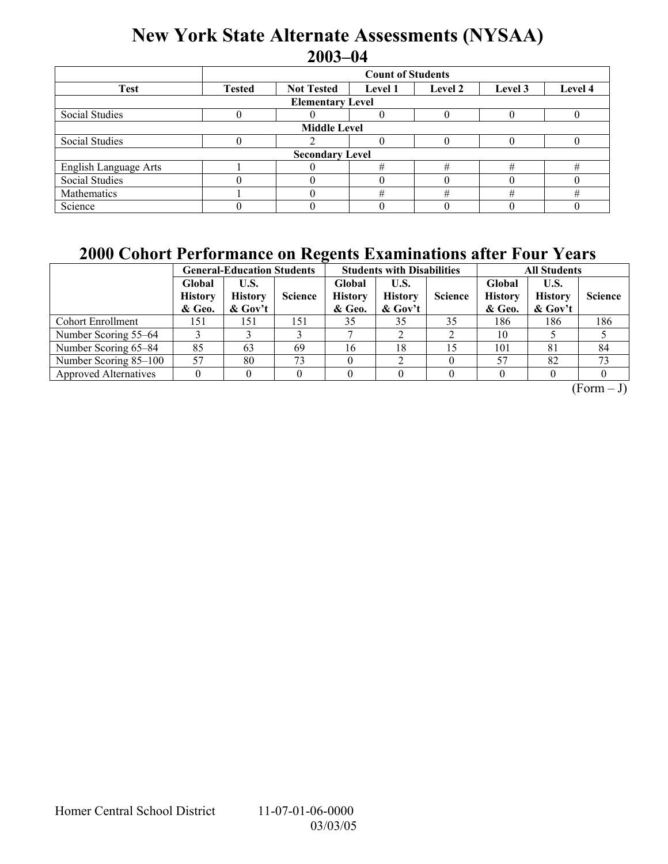## **New York State Alternate Assessments (NYSAA) 2003-04**

|                         | <b>Count of Students</b> |                   |                |         |         |         |  |  |  |
|-------------------------|--------------------------|-------------------|----------------|---------|---------|---------|--|--|--|
| <b>Test</b>             | <b>Tested</b>            | <b>Not Tested</b> | <b>Level 1</b> | Level 2 | Level 3 | Level 4 |  |  |  |
| <b>Elementary Level</b> |                          |                   |                |         |         |         |  |  |  |
| Social Studies          |                          |                   |                |         |         |         |  |  |  |
| <b>Middle Level</b>     |                          |                   |                |         |         |         |  |  |  |
| Social Studies          |                          |                   |                |         |         |         |  |  |  |
| <b>Secondary Level</b>  |                          |                   |                |         |         |         |  |  |  |
| English Language Arts   |                          |                   | #              |         | #       | #       |  |  |  |
| <b>Social Studies</b>   |                          |                   |                |         |         |         |  |  |  |
| Mathematics             |                          |                   | #              | #       | #       | #       |  |  |  |
| Science                 |                          |                   |                |         |         |         |  |  |  |

## **2000 Cohort Performance on Regents Examinations after Four Years**

|                              | <b>General-Education Students</b>  |                                      |                | <b>Students with Disabilities</b>  |                                      |                | <b>All Students</b>                |                                      |                |
|------------------------------|------------------------------------|--------------------------------------|----------------|------------------------------------|--------------------------------------|----------------|------------------------------------|--------------------------------------|----------------|
|                              | Global<br><b>History</b><br>& Geo. | U.S.<br><b>History</b><br>$\&$ Gov't | <b>Science</b> | Global<br><b>History</b><br>& Geo. | U.S.<br><b>History</b><br>$\&$ Gov't | <b>Science</b> | Global<br><b>History</b><br>& Geo. | U.S.<br><b>History</b><br>$\&$ Gov't | <b>Science</b> |
| <b>Cohort Enrollment</b>     | 151                                | 151                                  | 151            | 35                                 | 35                                   | 35             | 186                                | 186                                  | 186            |
| Number Scoring 55–64         |                                    |                                      |                |                                    |                                      |                | 10                                 |                                      |                |
| Number Scoring 65–84         | 85                                 | 63                                   | 69             | 16                                 | 18                                   | 15             | 101                                | 81                                   | 84             |
| Number Scoring 85-100        | 57                                 | 80                                   | 73             |                                    |                                      |                | 57                                 | 82                                   | 73             |
| <b>Approved Alternatives</b> |                                    |                                      |                |                                    |                                      |                |                                    |                                      |                |

 $(Form - J)$